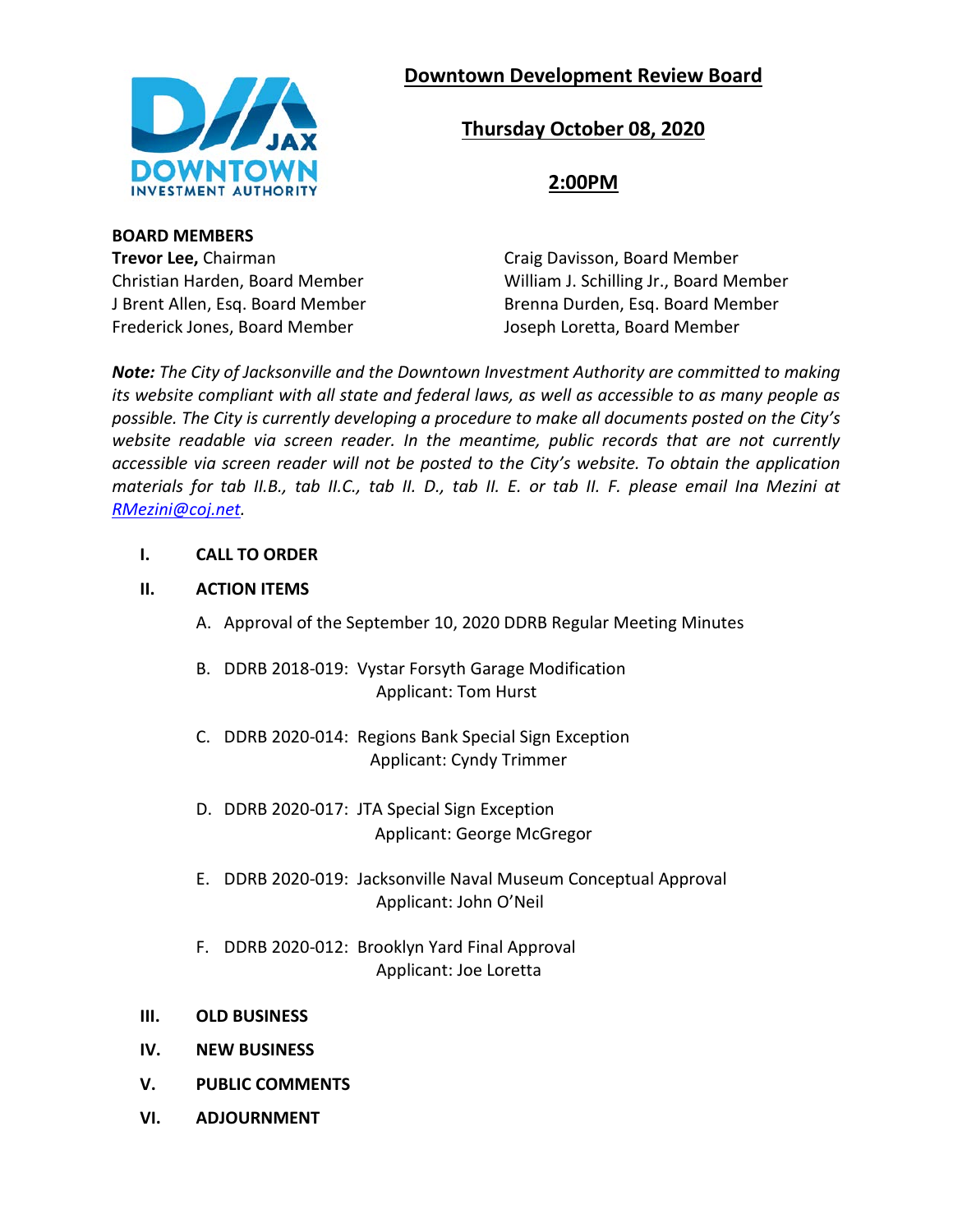# **Downtown Development Review Board**



# **Thursday October 08, 2020**

**2:00PM**

**BOARD MEMBERS Trevor Lee, Chairman Craig Davisson, Board Member** Frederick Jones, Board Member Joseph Loretta, Board Member

Christian Harden, Board Member William J. Schilling Jr., Board Member J Brent Allen, Esq. Board Member Brenna Durden, Esq. Board Member

*Note: The City of Jacksonville and the Downtown Investment Authority are committed to making its website compliant with all state and federal laws, as well as accessible to as many people as possible. The City is currently developing a procedure to make all documents posted on the City's website readable via screen reader. In the meantime, public records that are not currently accessible via screen reader will not be posted to the City's website. To obtain the application materials for tab II.B., tab II.C., tab II. D., tab II. E. or tab II. F. please email Ina Mezini at [RMezini@coj.net.](mailto:RMezini@coj.net)*

### **I. CALL TO ORDER**

### **II. ACTION ITEMS**

- A. Approval of the September 10, 2020 DDRB Regular Meeting Minutes
- B. DDRB 2018-019: Vystar Forsyth Garage Modification Applicant: Tom Hurst
- C. DDRB 2020-014: Regions Bank Special Sign Exception Applicant: Cyndy Trimmer
- D. DDRB 2020-017: JTA Special Sign Exception Applicant: George McGregor
- E. DDRB 2020-019: Jacksonville Naval Museum Conceptual Approval Applicant: John O'Neil
- F. DDRB 2020-012: Brooklyn Yard Final Approval Applicant: Joe Loretta
- **III. OLD BUSINESS**
- **IV. NEW BUSINESS**
- **V. PUBLIC COMMENTS**
- **VI. ADJOURNMENT**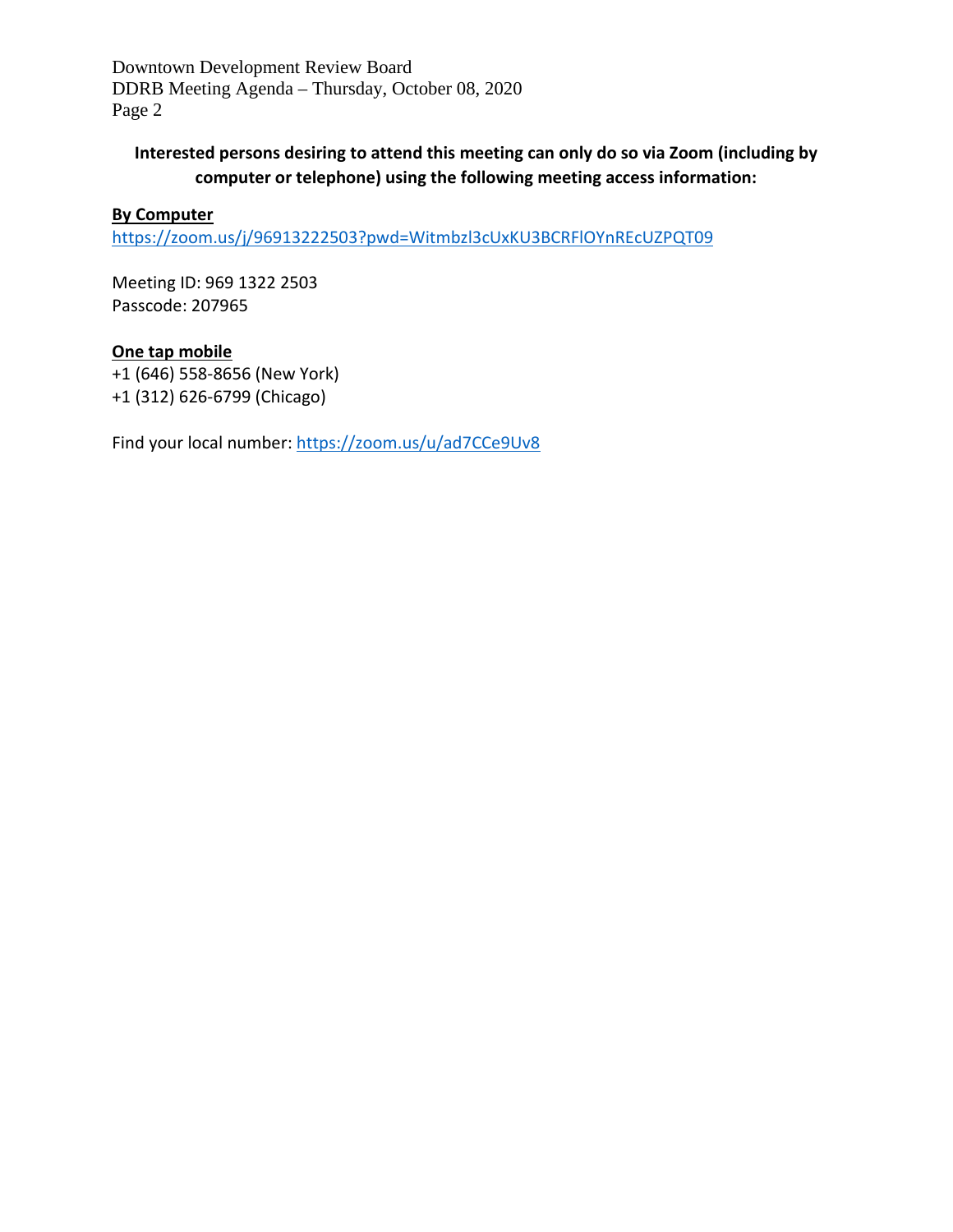Downtown Development Review Board DDRB Meeting Agenda – Thursday, October 08, 2020 Page 2

# **Interested persons desiring to attend this meeting can only do so via Zoom (including by computer or telephone) using the following meeting access information:**

## **By Computer**

<https://zoom.us/j/96913222503?pwd=Witmbzl3cUxKU3BCRFlOYnREcUZPQT09>

Meeting ID: 969 1322 2503 Passcode: 207965

# **One tap mobile**

+1 (646) 558-8656 (New York) +1 (312) 626-6799 (Chicago)

Find your local number:<https://zoom.us/u/ad7CCe9Uv8>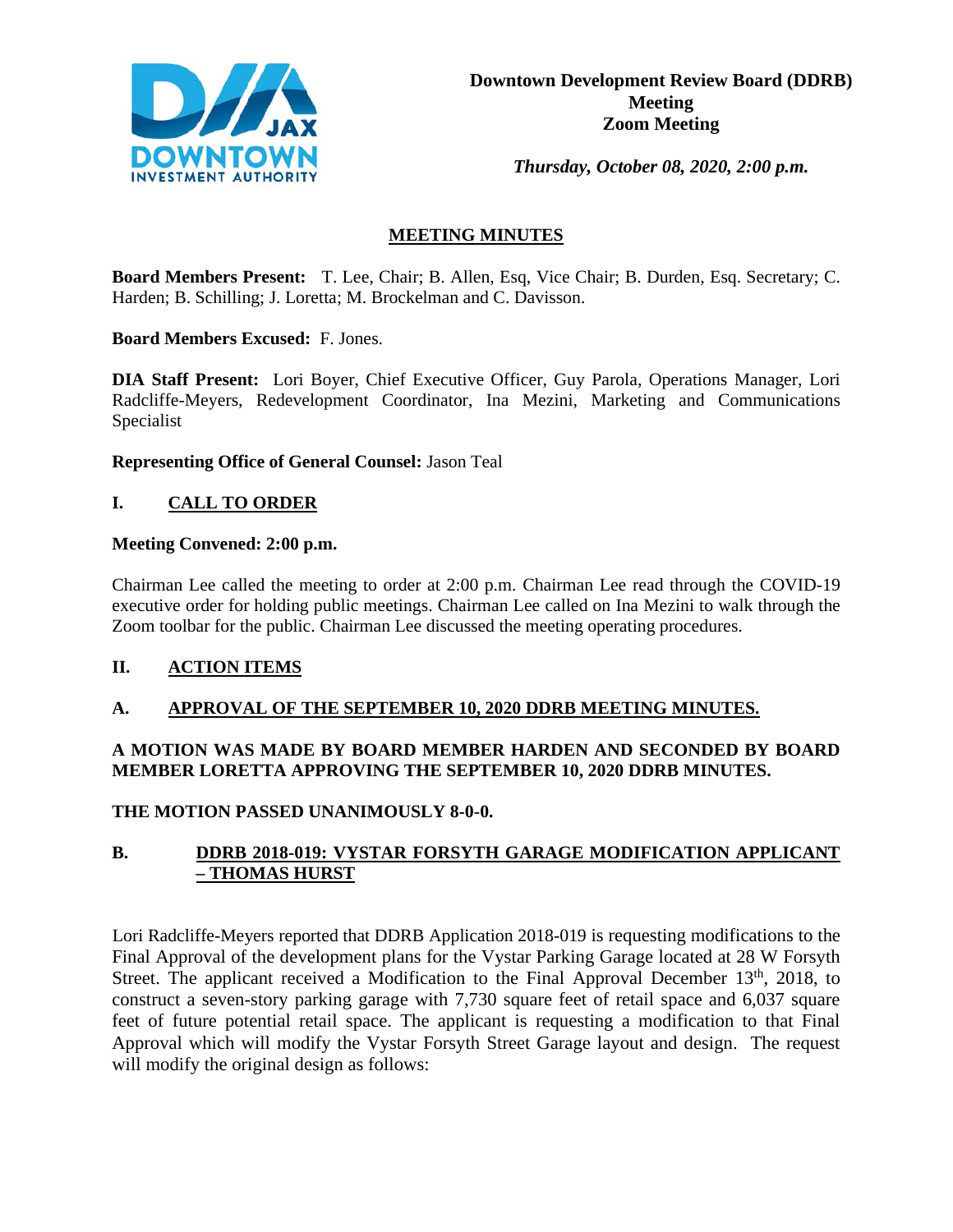

*Thursday, October 08, 2020, 2:00 p.m.* 

## **MEETING MINUTES**

**Board Members Present:** T. Lee, Chair; B. Allen, Esq, Vice Chair; B. Durden, Esq. Secretary; C. Harden; B. Schilling; J. Loretta; M. Brockelman and C. Davisson.

**Board Members Excused:** F. Jones.

**DIA Staff Present:** Lori Boyer, Chief Executive Officer, Guy Parola, Operations Manager, Lori Radcliffe-Meyers, Redevelopment Coordinator, Ina Mezini, Marketing and Communications Specialist

**Representing Office of General Counsel:** Jason Teal

## **I. CALL TO ORDER**

### **Meeting Convened: 2:00 p.m.**

Chairman Lee called the meeting to order at 2:00 p.m. Chairman Lee read through the COVID-19 executive order for holding public meetings. Chairman Lee called on Ina Mezini to walk through the Zoom toolbar for the public. Chairman Lee discussed the meeting operating procedures.

## **II. ACTION ITEMS**

## **A. APPROVAL OF THE SEPTEMBER 10, 2020 DDRB MEETING MINUTES.**

## **A MOTION WAS MADE BY BOARD MEMBER HARDEN AND SECONDED BY BOARD MEMBER LORETTA APPROVING THE SEPTEMBER 10, 2020 DDRB MINUTES.**

**THE MOTION PASSED UNANIMOUSLY 8-0-0.**

## **B. DDRB 2018-019: VYSTAR FORSYTH GARAGE MODIFICATION APPLICANT – THOMAS HURST**

Lori Radcliffe-Meyers reported that DDRB Application 2018-019 is requesting modifications to the Final Approval of the development plans for the Vystar Parking Garage located at 28 W Forsyth Street. The applicant received a Modification to the Final Approval December  $13<sup>th</sup>$ , 2018, to construct a seven-story parking garage with 7,730 square feet of retail space and 6,037 square feet of future potential retail space. The applicant is requesting a modification to that Final Approval which will modify the Vystar Forsyth Street Garage layout and design. The request will modify the original design as follows: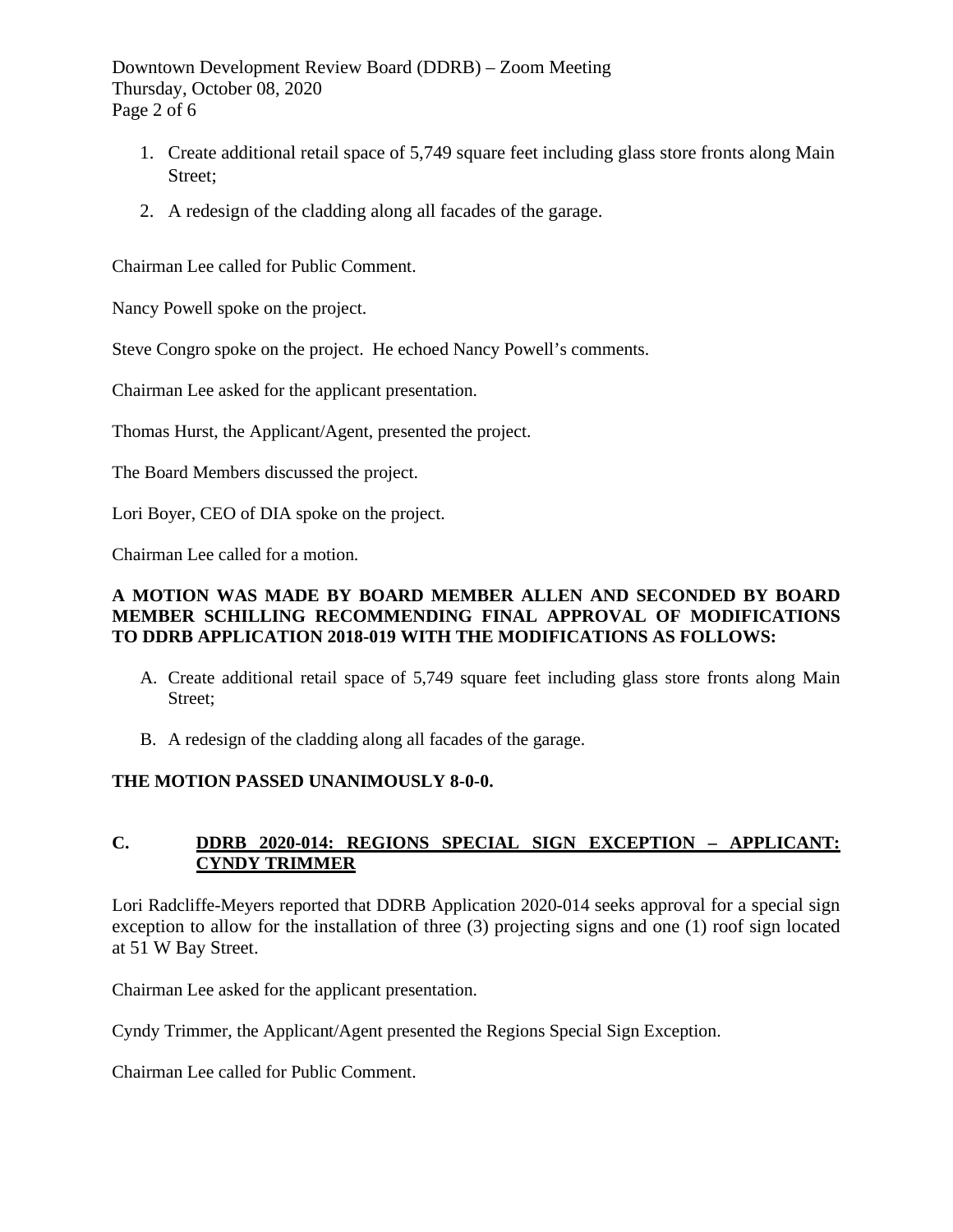Downtown Development Review Board (DDRB) – Zoom Meeting Thursday, October 08, 2020 Page 2 of 6

- 1. Create additional retail space of 5,749 square feet including glass store fronts along Main Street;
- 2. A redesign of the cladding along all facades of the garage.

Chairman Lee called for Public Comment.

Nancy Powell spoke on the project.

Steve Congro spoke on the project. He echoed Nancy Powell's comments.

Chairman Lee asked for the applicant presentation.

Thomas Hurst, the Applicant/Agent, presented the project.

The Board Members discussed the project.

Lori Boyer, CEO of DIA spoke on the project.

Chairman Lee called for a motion.

### **A MOTION WAS MADE BY BOARD MEMBER ALLEN AND SECONDED BY BOARD MEMBER SCHILLING RECOMMENDING FINAL APPROVAL OF MODIFICATIONS TO DDRB APPLICATION 2018-019 WITH THE MODIFICATIONS AS FOLLOWS:**

- A. Create additional retail space of 5,749 square feet including glass store fronts along Main Street;
- B. A redesign of the cladding along all facades of the garage.

## **THE MOTION PASSED UNANIMOUSLY 8-0-0.**

## **C. DDRB 2020-014: REGIONS SPECIAL SIGN EXCEPTION – APPLICANT: CYNDY TRIMMER**

Lori Radcliffe-Meyers reported that DDRB Application 2020-014 seeks approval for a special sign exception to allow for the installation of three (3) projecting signs and one (1) roof sign located at 51 W Bay Street.

Chairman Lee asked for the applicant presentation.

Cyndy Trimmer, the Applicant/Agent presented the Regions Special Sign Exception.

Chairman Lee called for Public Comment.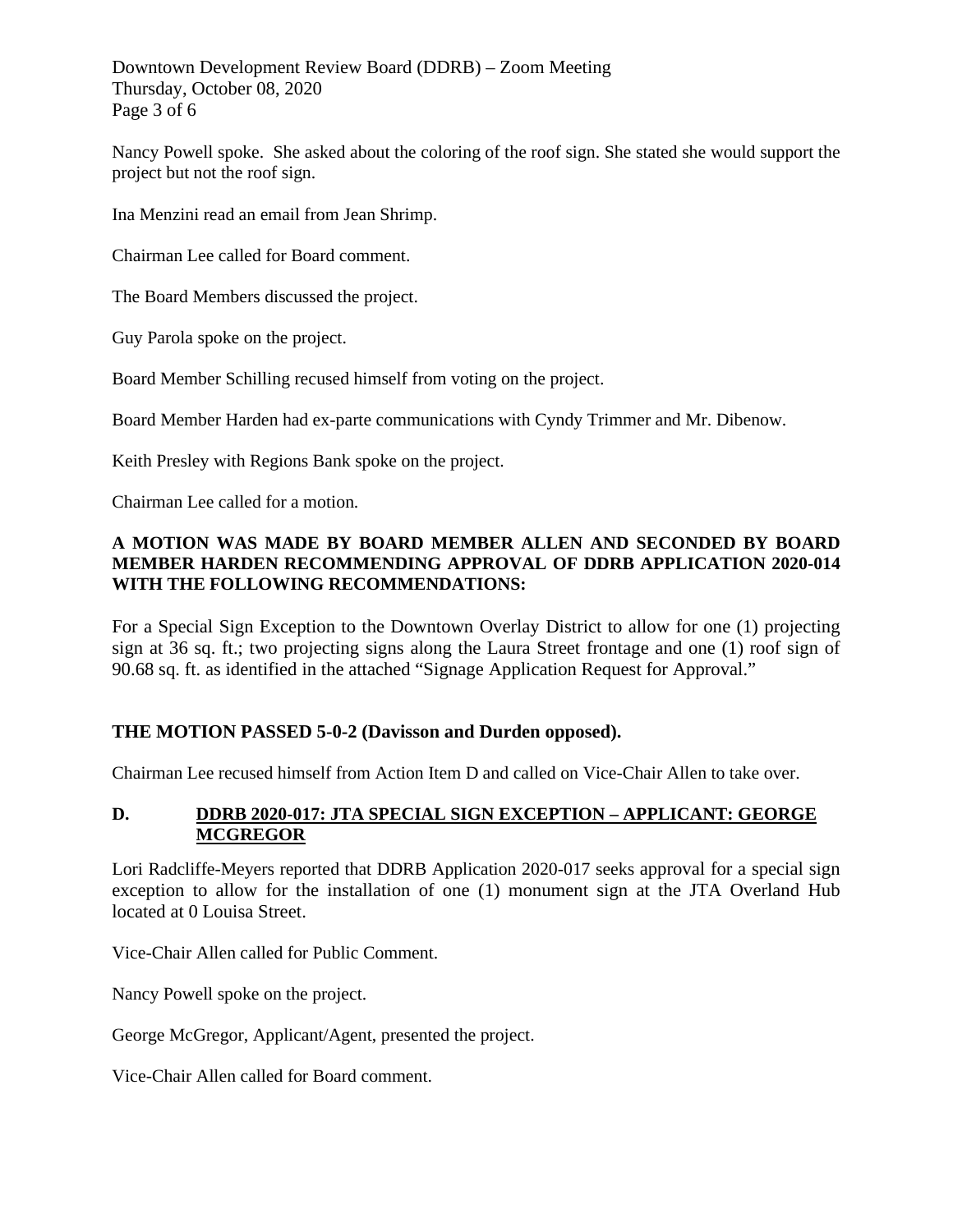Downtown Development Review Board (DDRB) – Zoom Meeting Thursday, October 08, 2020 Page 3 of 6

Nancy Powell spoke. She asked about the coloring of the roof sign. She stated she would support the project but not the roof sign.

Ina Menzini read an email from Jean Shrimp.

Chairman Lee called for Board comment.

The Board Members discussed the project.

Guy Parola spoke on the project.

Board Member Schilling recused himself from voting on the project.

Board Member Harden had ex-parte communications with Cyndy Trimmer and Mr. Dibenow.

Keith Presley with Regions Bank spoke on the project.

Chairman Lee called for a motion.

### **A MOTION WAS MADE BY BOARD MEMBER ALLEN AND SECONDED BY BOARD MEMBER HARDEN RECOMMENDING APPROVAL OF DDRB APPLICATION 2020-014 WITH THE FOLLOWING RECOMMENDATIONS:**

For a Special Sign Exception to the Downtown Overlay District to allow for one (1) projecting sign at 36 sq. ft.; two projecting signs along the Laura Street frontage and one (1) roof sign of 90.68 sq. ft. as identified in the attached "Signage Application Request for Approval."

## **THE MOTION PASSED 5-0-2 (Davisson and Durden opposed).**

Chairman Lee recused himself from Action Item D and called on Vice-Chair Allen to take over.

## **D. DDRB 2020-017: JTA SPECIAL SIGN EXCEPTION – APPLICANT: GEORGE MCGREGOR**

Lori Radcliffe-Meyers reported that DDRB Application 2020-017 seeks approval for a special sign exception to allow for the installation of one (1) monument sign at the JTA Overland Hub located at 0 Louisa Street.

Vice-Chair Allen called for Public Comment.

Nancy Powell spoke on the project.

George McGregor, Applicant/Agent, presented the project.

Vice-Chair Allen called for Board comment.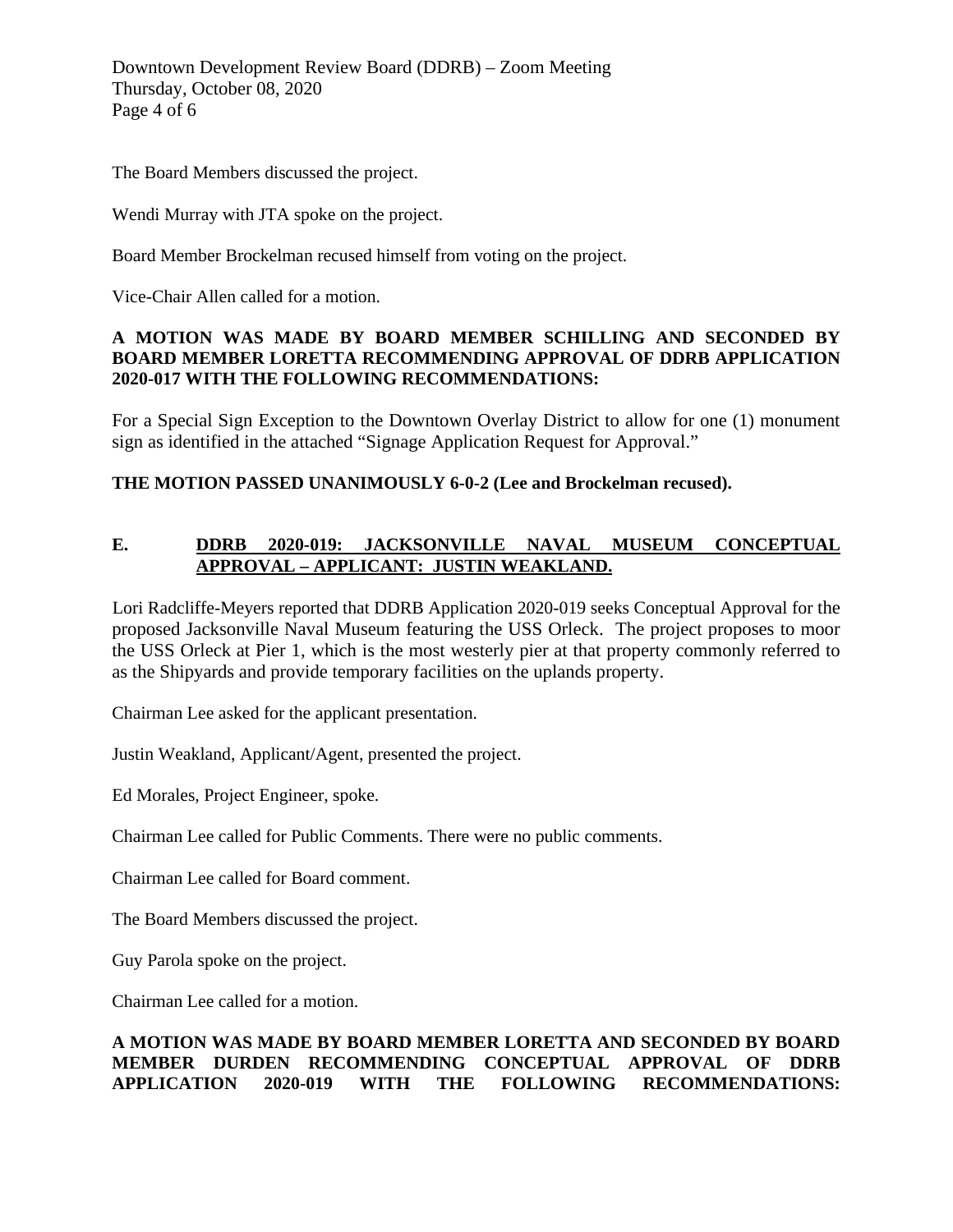Downtown Development Review Board (DDRB) – Zoom Meeting Thursday, October 08, 2020 Page 4 of 6

The Board Members discussed the project.

Wendi Murray with JTA spoke on the project.

Board Member Brockelman recused himself from voting on the project.

Vice-Chair Allen called for a motion.

### **A MOTION WAS MADE BY BOARD MEMBER SCHILLING AND SECONDED BY BOARD MEMBER LORETTA RECOMMENDING APPROVAL OF DDRB APPLICATION 2020-017 WITH THE FOLLOWING RECOMMENDATIONS:**

For a Special Sign Exception to the Downtown Overlay District to allow for one (1) monument sign as identified in the attached "Signage Application Request for Approval."

## **THE MOTION PASSED UNANIMOUSLY 6-0-2 (Lee and Brockelman recused).**

## **E. DDRB 2020-019: JACKSONVILLE NAVAL MUSEUM CONCEPTUAL APPROVAL – APPLICANT: JUSTIN WEAKLAND.**

Lori Radcliffe-Meyers reported that DDRB Application 2020-019 seeks Conceptual Approval for the proposed Jacksonville Naval Museum featuring the USS Orleck. The project proposes to moor the USS Orleck at Pier 1, which is the most westerly pier at that property commonly referred to as the Shipyards and provide temporary facilities on the uplands property.

Chairman Lee asked for the applicant presentation.

Justin Weakland, Applicant/Agent, presented the project.

Ed Morales, Project Engineer, spoke.

Chairman Lee called for Public Comments. There were no public comments.

Chairman Lee called for Board comment.

The Board Members discussed the project.

Guy Parola spoke on the project.

Chairman Lee called for a motion.

## **A MOTION WAS MADE BY BOARD MEMBER LORETTA AND SECONDED BY BOARD MEMBER DURDEN RECOMMENDING CONCEPTUAL APPROVAL OF DDRB APPLICATION 2020-019 WITH THE FOLLOWING RECOMMENDATIONS:**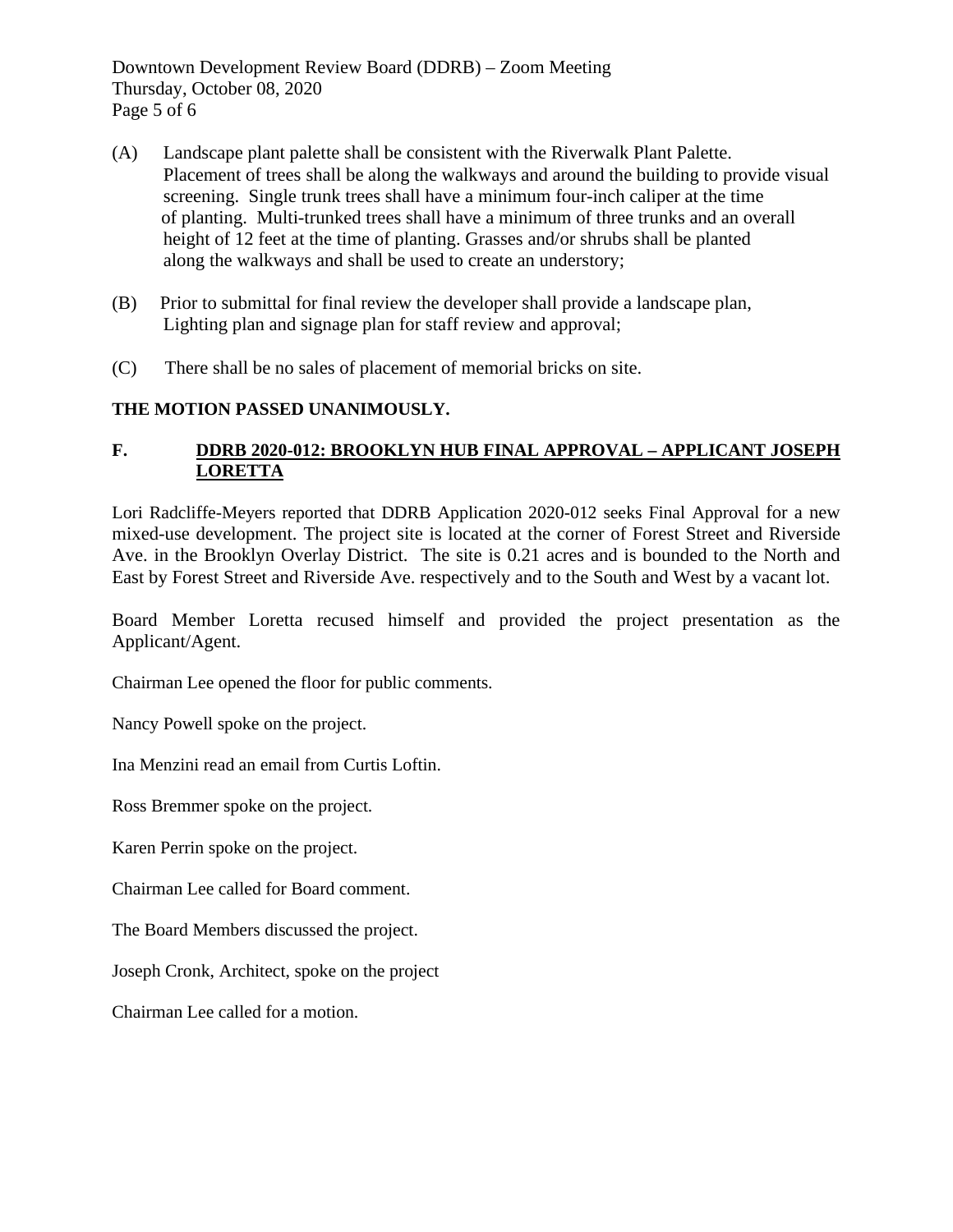Downtown Development Review Board (DDRB) – Zoom Meeting Thursday, October 08, 2020 Page 5 of 6

- (A) Landscape plant palette shall be consistent with the Riverwalk Plant Palette. Placement of trees shall be along the walkways and around the building to provide visual screening. Single trunk trees shall have a minimum four-inch caliper at the time of planting. Multi-trunked trees shall have a minimum of three trunks and an overall height of 12 feet at the time of planting. Grasses and/or shrubs shall be planted along the walkways and shall be used to create an understory;
- (B) Prior to submittal for final review the developer shall provide a landscape plan, Lighting plan and signage plan for staff review and approval;
- (C) There shall be no sales of placement of memorial bricks on site.

## **THE MOTION PASSED UNANIMOUSLY.**

## **F. DDRB 2020-012: BROOKLYN HUB FINAL APPROVAL – APPLICANT JOSEPH LORETTA**

Lori Radcliffe-Meyers reported that DDRB Application 2020-012 seeks Final Approval for a new mixed-use development. The project site is located at the corner of Forest Street and Riverside Ave. in the Brooklyn Overlay District. The site is 0.21 acres and is bounded to the North and East by Forest Street and Riverside Ave. respectively and to the South and West by a vacant lot.

Board Member Loretta recused himself and provided the project presentation as the Applicant/Agent.

Chairman Lee opened the floor for public comments.

Nancy Powell spoke on the project.

Ina Menzini read an email from Curtis Loftin.

Ross Bremmer spoke on the project.

Karen Perrin spoke on the project.

Chairman Lee called for Board comment.

The Board Members discussed the project.

Joseph Cronk, Architect, spoke on the project

Chairman Lee called for a motion.